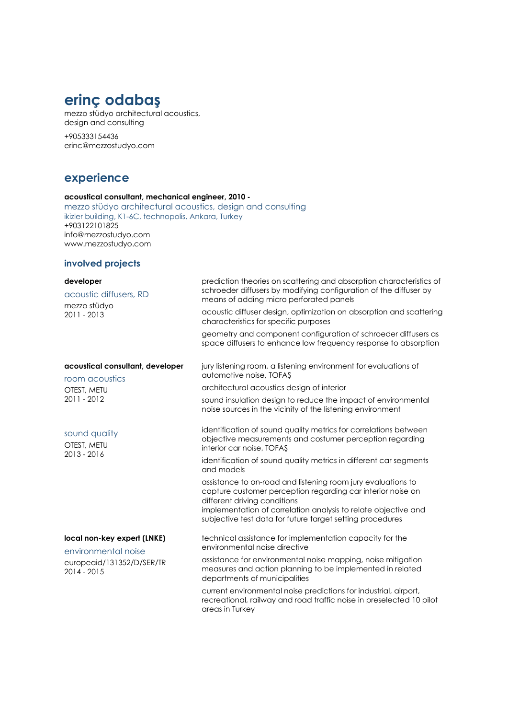# erinç odabaş

mezzo stüdyo architectural acoustics, design and consulting

+905333154436 erinc@mezzostudyo.com

### experience

#### acoustical consultant, mechanical engineer, 2010 -

mezzo stüdyo architectural acoustics, design and consulting ikizler building, K1-6C, technopolis, Ankara, Turkey +903122101825 info@mezzostudyo.com www.mezzostudyo.com

### involved projects

#### developer acoustic diffusers, RD mezzo stüdyo 2011 - 2013 prediction theories on scattering and absorption characteristics of schroeder diffusers by modifying configuration of the diffuser by means of adding micro perforated panels acoustic diffuser design, optimization on absorption and scattering characteristics for specific purposes geometry and component configuration of schroeder diffusers as space diffusers to enhance low frequency response to absorption acoustical consultant, developer room acoustics OTEST, METU 2011 - 2012 jury listening room, a listening environment for evaluations of automotive noise, TOFAŞ architectural acoustics design of interior sound insulation design to reduce the impact of environmental noise sources in the vicinity of the listening environment sound quality OTEST, METU 2013 - 2016 identification of sound quality metrics for correlations between objective measurements and costumer perception regarding interior car noise, TOFAŞ identification of sound quality metrics in different car seaments and models assistance to on-road and listening room jury evaluations to capture customer perception regarding car interior noise on different driving conditions implementation of correlation analysis to relate objective and subjective test data for future target setting procedures local non-key expert (LNKE) environmental noise europeaid/131352/D/SER/TR 2014 - 2015 technical assistance for implementation capacity for the environmental noise directive assistance for environmental noise mapping, noise mitigation measures and action planning to be implemented in related departments of municipalities current environmental noise predictions for industrial, airport, recreational, railway and road traffic noise in preselected 10 pilot areas in Turkey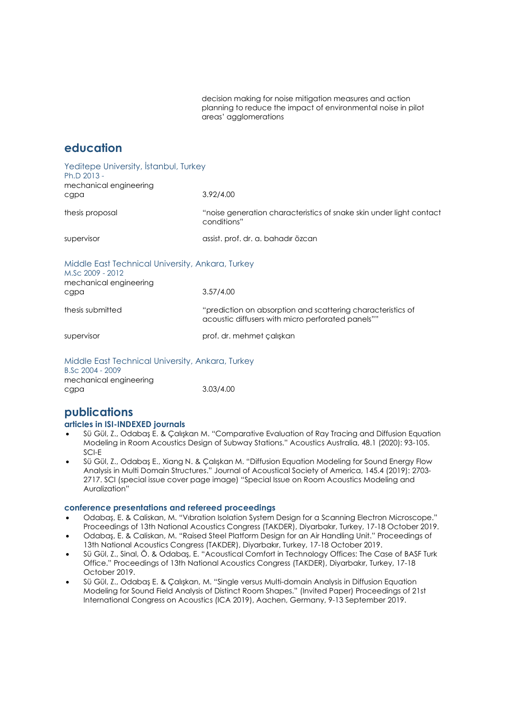decision making for noise mitigation measures and action planning to reduce the impact of environmental noise in pilot areas' agglomerations

### education

| Yeditepe University, İstanbul, Turkey<br>Ph.D 2013 -<br>mechanical engineering                 |                                                                                                                  |
|------------------------------------------------------------------------------------------------|------------------------------------------------------------------------------------------------------------------|
| cgpa                                                                                           | 3.92/4.00                                                                                                        |
| thesis proposal                                                                                | "noise generation characteristics of snake skin under light contact<br>conditions"                               |
| supervisor                                                                                     | assist. prof. dr. a. bahadır özcan                                                                               |
| Middle East Technical University, Ankara, Turkey<br>M.Sc 2009 - 2012<br>mechanical engineering |                                                                                                                  |
| cgpa                                                                                           | 3.57/4.00                                                                                                        |
| thesis submitted                                                                               | "prediction on absorption and scattering characteristics of<br>acoustic diffusers with micro perforated panels"" |
| supervisor                                                                                     | prof. dr. mehmet çalışkan                                                                                        |

Middle East Technical University, Ankara, Turkey B.Sc 2004 - 2009 mechanical engineering cgpa 3.03/4.00

## publications

#### articles in ISI-INDEXED journals

- Sü Gül, Z., Odabaş E. & Çalışkan M. "Comparative Evaluation of Ray Tracing and Diffusion Equation Modeling in Room Acoustics Design of Subway Stations." Acoustics Australia, 48.1 (2020): 93-105. SCI-E
- Sü Gül, Z., Odabaş E., Xiang N. & Çalışkan M. "Diffusion Equation Modeling for Sound Energy Flow Analysis in Multi Domain Structures." Journal of Acoustical Society of America, 145.4 (2019): 2703- 2717. SCI (special issue cover page image) "Special Issue on Room Acoustics Modeling and Auralization"

#### conference presentations and refereed proceedings

- Odabaş, E. & Caliskan, M. "Vıbration Isolation System Design for a Scanning Electron Microscope." Proceedings of 13th National Acoustics Congress (TAKDER), Diyarbakır, Turkey, 17-18 October 2019.
- Odabaş, E. & Caliskan, M. "Raised Steel Platform Design for an Air Handling Unit." Proceedings of 13th National Acoustics Congress (TAKDER), Diyarbakır, Turkey, 17-18 October 2019.
- Sü Gül, Z., Sinal, Ö. & Odabaş, E. "Acoustical Comfort in Technology Offices: The Case of BASF Turk Office." Proceedings of 13th National Acoustics Congress (TAKDER), Diyarbakır, Turkey, 17-18 October 2019.
- Sü Gül, Z., Odabaş E. & Çalışkan, M. "Single versus Multi-domain Analysis in Diffusion Equation Modeling for Sound Field Analysis of Distinct Room Shapes." (Invited Paper) Proceedings of 21st International Congress on Acoustics (ICA 2019), Aachen, Germany, 9-13 September 2019.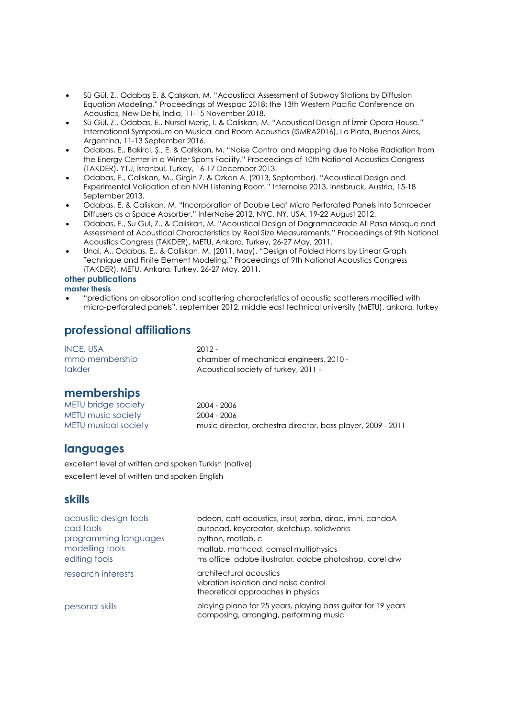- Sü Gül, Z., Odabaş E. & Çalışkan, M. "Acoustical Assessment of Subway Stations by Diffusion Equation Modeling." Proceedings of Wespac 2018: the 13th Western Pacific Conference on Acoustics, New Delhi, India, 11-15 November 2018.
- Sü Gül, Z., Odabas, E., Nursal Meriç, I. & Caliskan, M. "Acoustical Design of İzmir Opera House." International Symposium on Musical and Room Acoustics (ISMRA2016), La Plata, Buenos Aires, Argentina, 11-13 September 2016.
- Odabas, E., Bakirci, Ş., E. & Caliskan, M. "Noise Control and Mapping due to Noise Radiation from the Energy Center in a Winter Sports Facility." Proceedings of 10th National Acoustics Congress (TAKDER), YTU, İstanbul, Turkey, 16-17 December 2013.
- Odabas, E., Caliskan, M., Girgin Z. & Ozkan A. (2013, September). "Acoustical Design and Experimental Validation of an NVH Listening Room." Internoise 2013, Innsbruck, Austria, 15-18 September 2013.
- Odabas, E. & Caliskan, M. "Incorporation of Double Leaf Micro Perforated Panels into Schroeder Diffusers as a Space Absorber." InterNoise 2012, NYC, NY, USA, 19-22 August 2012.
- Odabas, E., Su Gul, Z., & Caliskan, M. "Acoustical Design of Dogramacizade Ali Pasa Mosque and Assessment of Acoustical Characteristics by Real Size Measurements." Proceedings of 9th National Acoustics Congress (TAKDER), METU, Ankara, Turkey, 26-27 May, 2011.
- Unal, A., Odabas, E., & Caliskan, M. (2011, May). "Design of Folded Horns by Linear Graph Technique and Finite Element Modeling." Proceedings of 9th National Acoustics Congress (TAKDER), METU, Ankara, Turkey, 26-27 May, 2011.

### other publications

### master thesis

 "predictions on absorption and scattering characteristics of acoustic scatterers modified with micro-perforated panels", september 2012, middle east technical university (METU), ankara, turkey

### professional affiliations

| <b>INCE, USA</b> | $2012 -$                                |
|------------------|-----------------------------------------|
| mmo membership   | chamber of mechanical engineers, 2010 - |
| takder           | Acoustical society of turkey, 2011 -    |

### memberships

| METU bridge society  | 2004 - 2006                                                  |
|----------------------|--------------------------------------------------------------|
| METU music society   | 2004 - 2006                                                  |
| METU musical society | music director, orchestra director, bass player, 2009 - 2011 |

### languages

excellent level of written and spoken Turkish (native) excellent level of written and spoken English

### skills

| acoustic design tools<br>cad tools<br>programming languages<br>modelling tools<br>editing tools | odeon, catt acoustics, insul, zorba, dirac, imni, candaA<br>autocad, keycreator, sketchup, solidworks<br>python, matlab, c<br>matlab, mathcad, comsol multiphysics<br>ms office, adobe illustrator, adobe photoshop, corel drw |
|-------------------------------------------------------------------------------------------------|--------------------------------------------------------------------------------------------------------------------------------------------------------------------------------------------------------------------------------|
| research interests                                                                              | architectural acoustics<br>vibration isolation and noise control<br>theoretical approaches in physics                                                                                                                          |
| personal skills                                                                                 | playing piano for 25 years, playing bass guitar for 19 years<br>composing, arranging, performing music                                                                                                                         |